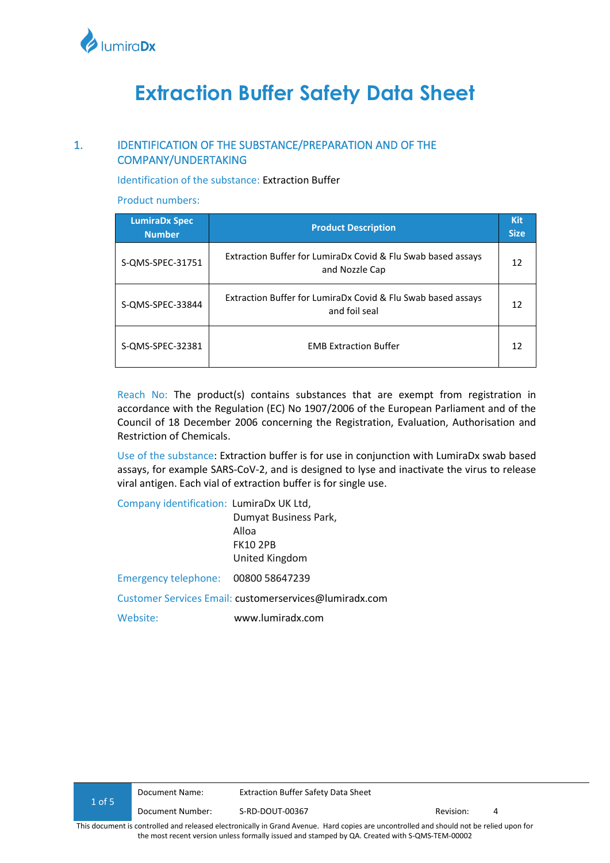

# **Extraction Buffer Safety Data Sheet**

# 1. IDENTIFICATION OF THE SUBSTANCE/PREPARATION AND OF THE COMPANY/UNDERTAKING

Identification of the substance: Extraction Buffer

Product numbers:

| <b>LumiraDx Spec</b><br><b>Number</b> | <b>Product Description</b>                                                     | <b>Kit</b><br><b>Size</b> |
|---------------------------------------|--------------------------------------------------------------------------------|---------------------------|
| S-QMS-SPEC-31751                      | Extraction Buffer for LumiraDx Covid & Flu Swab based assays<br>and Nozzle Cap | 12                        |
| S-QMS-SPEC-33844                      | Extraction Buffer for LumiraDx Covid & Flu Swab based assays<br>and foil seal  | 12                        |
| S-QMS-SPEC-32381                      | <b>EMB Extraction Buffer</b>                                                   | 12                        |

Reach No: The product(s) contains substances that are exempt from registration in accordance with the Regulation (EC) No 1907/2006 of the European Parliament and of the Council of 18 December 2006 concerning the Registration, Evaluation, Authorisation and Restriction of Chemicals.

Use of the substance: Extraction buffer is for use in conjunction with LumiraDx swab based assays, for example SARS-CoV-2, and is designed to lyse and inactivate the virus to release viral antigen. Each vial of extraction buffer is for single use.

Company identification: LumiraDx UK Ltd, Dumyat Business Park, Alloa FK10 2PB United Kingdom Emergency telephone:00800 58647239 Customer Services Email: customerservices@lumiradx.com Website: www.lumiradx.com

| 1 of 5                                                                                                                                  | Document Name:   | <b>Extraction Buffer Safety Data Sheet</b> |           |  |
|-----------------------------------------------------------------------------------------------------------------------------------------|------------------|--------------------------------------------|-----------|--|
|                                                                                                                                         | Document Number: | S-RD-DOUT-00367                            | Revision: |  |
| This document is controlled and released electronically in Grand Avenue. Hard copies are uncontrolled and should not be relied upon for |                  |                                            |           |  |

the most recent version unless formally issued and stamped by QA. Created with S-QMS-TEM-00002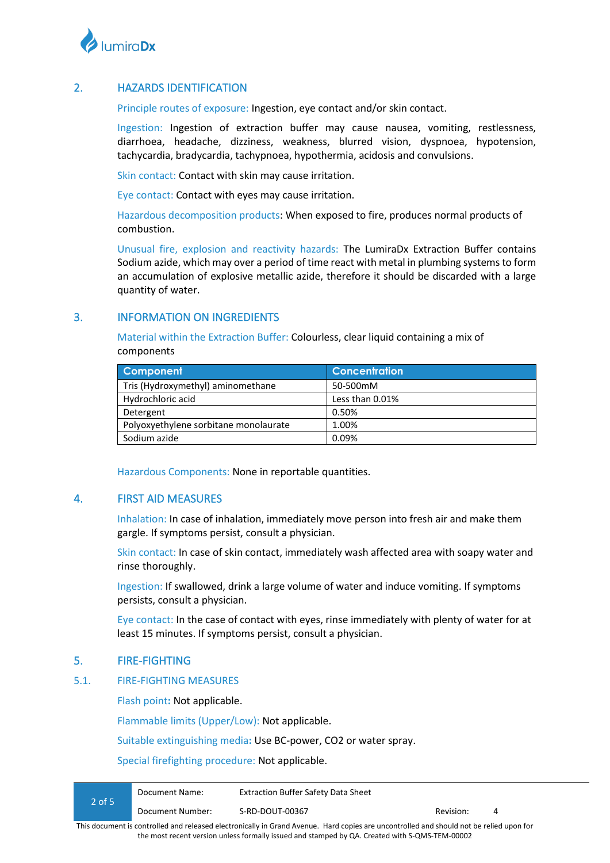

# 2. HAZARDS IDENTIFICATION

Principle routes of exposure: Ingestion, eye contact and/or skin contact.

Ingestion: Ingestion of extraction buffer may cause nausea, vomiting, restlessness, diarrhoea, headache, dizziness, weakness, blurred vision, dyspnoea, hypotension, tachycardia, bradycardia, tachypnoea, hypothermia, acidosis and convulsions.

Skin contact: Contact with skin may cause irritation.

Eye contact: Contact with eyes may cause irritation.

Hazardous decomposition products: When exposed to fire, produces normal products of combustion.

Unusual fire, explosion and reactivity hazards: The LumiraDx Extraction Buffer contains Sodium azide, which may over a period of time react with metal in plumbing systems to form an accumulation of explosive metallic azide, therefore it should be discarded with a large quantity of water.

## 3. INFORMATION ON INGREDIENTS

Material within the Extraction Buffer: Colourless, clear liquid containing a mix of components

| <b>Component</b>                      | <b>Concentration</b> |
|---------------------------------------|----------------------|
| Tris (Hydroxymethyl) aminomethane     | 50-500mM             |
| Hydrochloric acid                     | Less than 0.01%      |
| Detergent                             | 0.50%                |
| Polyoxyethylene sorbitane monolaurate | 1.00%                |
| Sodium azide                          | 0.09%                |

Hazardous Components: None in reportable quantities.

## 4. FIRST AID MEASURES

Inhalation: In case of inhalation, immediately move person into fresh air and make them gargle. If symptoms persist, consult a physician.

Skin contact: In case of skin contact, immediately wash affected area with soapy water and rinse thoroughly.

Ingestion: If swallowed, drink a large volume of water and induce vomiting. If symptoms persists, consult a physician.

Eye contact: In the case of contact with eyes, rinse immediately with plenty of water for at least 15 minutes. If symptoms persist, consult a physician.

## 5. FIRE-FIGHTING

#### 5.1. FIRE-FIGHTING MEASURES

Flash point**:** Not applicable.

Flammable limits (Upper/Low): Not applicable.

Suitable extinguishing media**:** Use BC-power, CO2 or water spray.

Special firefighting procedure: Not applicable.

|          | Document Number: | S-RD-DOUT-00367                            | Revision:<br>4 |  |
|----------|------------------|--------------------------------------------|----------------|--|
| $2$ of 5 | Document Name:   | <b>Extraction Buffer Safety Data Sheet</b> |                |  |

This document is controlled and released electronically in Grand Avenue. Hard copies are uncontrolled and should not be relied upon for the most recent version unless formally issued and stamped by QA. Created with S-QMS-TEM-00002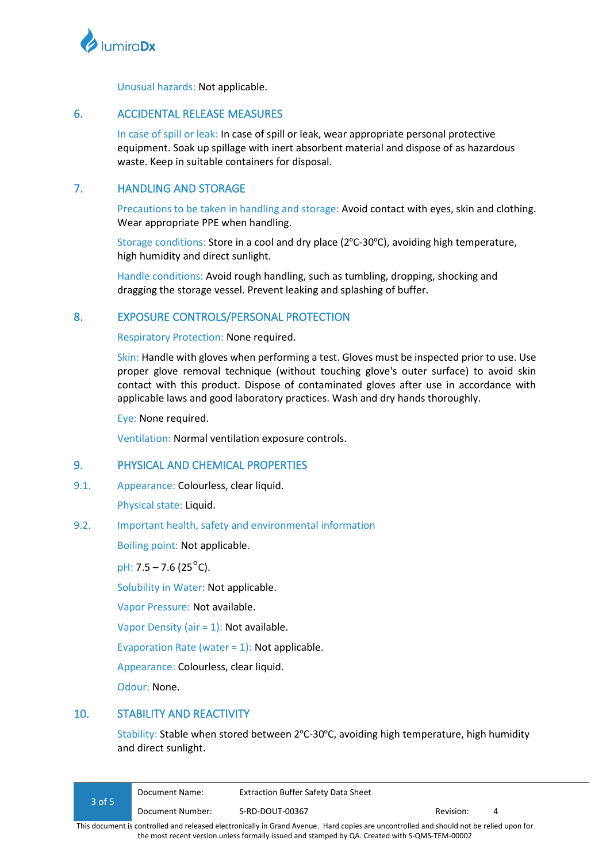

Unusual hazards: Not applicable.

# 6. ACCIDENTAL RELEASE MEASURES

In case of spill or leak: In case of spill or leak, wear appropriate personal protective equipment. Soak up spillage with inert absorbent material and dispose of as hazardous waste. Keep in suitable containers for disposal.

# 7. HANDLING AND STORAGE

Precautions to be taken in handling and storage: Avoid contact with eyes, skin and clothing. Wear appropriate PPE when handling.

Storage conditions: Store in a cool and dry place (2ºC-30ºC), avoiding high temperature, high humidity and direct sunlight.

Handle conditions: Avoid rough handling, such as tumbling, dropping, shocking and dragging the storage vessel. Prevent leaking and splashing of buffer.

# 8. EXPOSURE CONTROLS/PERSONAL PROTECTION

Respiratory Protection: None required.

Skin: Handle with gloves when performing a test. Gloves must be inspected prior to use. Use proper glove removal technique (without touching glove's outer surface) to avoid skin contact with this product. Dispose of contaminated gloves after use in accordance with applicable laws and good laboratory practices. Wash and dry hands thoroughly.

Eye: None required.

Ventilation: Normal ventilation exposure controls.

## 9. PHYSICAL AND CHEMICAL PROPERTIES

9.1. Appearance: Colourless, clear liquid.

Physical state: Liquid.

#### 9.2. Important health, safety and environmental information

Boiling point: Not applicable.

pH:  $7.5 - 7.6$  ( $25^{\circ}$ C).

Solubility in Water: Not applicable.

Vapor Pressure: Not available.

Vapor Density (air = 1): Not available.

Evaporation Rate (water  $= 1$ ): Not applicable.

Appearance: Colourless, clear liquid.

Odour: None.

## 10. STABILITY AND REACTIVITY

Stability: Stable when stored between 2ºC-30ºC, avoiding high temperature, high humidity and direct sunlight.

| $3$ of 5 | Document Name:   | Extraction Buffer Safety Data Sheet |           |   |  |
|----------|------------------|-------------------------------------|-----------|---|--|
|          | Document Number: | S-RD-DOUT-00367                     | Revision: | 4 |  |
| .        |                  |                                     |           |   |  |

This document is controlled and released electronically in Grand Avenue. Hard copies are uncontrolled and should not be relied upon for the most recent version unless formally issued and stamped by QA. Created with S-QMS-TEM-00002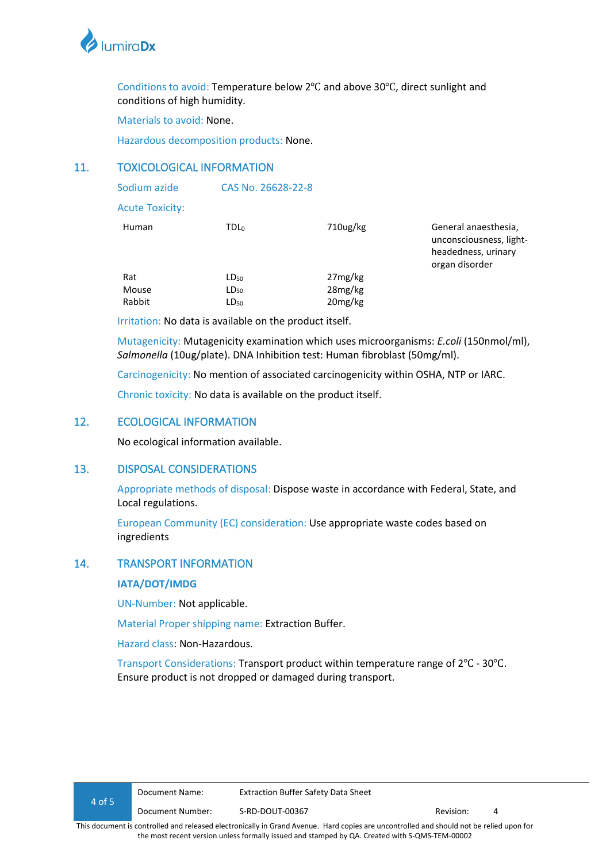

Conditions to avoid: Temperature below 2℃ and above 30℃, direct sunlight and conditions of high humidity.

Materials to avoid: None.

Hazardous decomposition products: None.

## 11. TOXICOLOGICAL INFORMATION

| Sodium azide           | CAS No. 26628-22-8 |          |                                                                                          |
|------------------------|--------------------|----------|------------------------------------------------------------------------------------------|
| <b>Acute Toxicity:</b> |                    |          |                                                                                          |
| Human                  | TDL <sub>0</sub>   | 710ug/kg | General anaesthesia,<br>unconsciousness, light-<br>headedness, urinary<br>organ disorder |
| Rat                    | LD <sub>50</sub>   | 27mg/kg  |                                                                                          |
| Mouse                  | $LD_{50}$          | 28mg/kg  |                                                                                          |
| Rabbit                 | $LD_{50}$          | 20mg/kg  |                                                                                          |

Irritation: No data is available on the product itself.

Mutagenicity: Mutagenicity examination which uses microorganisms: *E.coli* (150nmol/ml), *Salmonella* (10ug/plate). DNA Inhibition test: Human fibroblast (50mg/ml).

Carcinogenicity: No mention of associated carcinogenicity within OSHA, NTP or IARC.

Chronic toxicity: No data is available on the product itself.

## 12. ECOLOGICAL INFORMATION

No ecological information available.

## 13. DISPOSAL CONSIDERATIONS

Appropriate methods of disposal: Dispose waste in accordance with Federal, State, and Local regulations.

European Community (EC) consideration: Use appropriate waste codes based on ingredients

## 14. TRANSPORT INFORMATION

#### **IATA/DOT/IMDG**

UN-Number: Not applicable.

Material Proper shipping name: Extraction Buffer.

Hazard class: Non-Hazardous.

Transport Considerations: Transport product within temperature range of 2℃ - 30℃. Ensure product is not dropped or damaged during transport.

the most recent version unless formally issued and stamped by QA. Created with S-QMS-TEM-00002